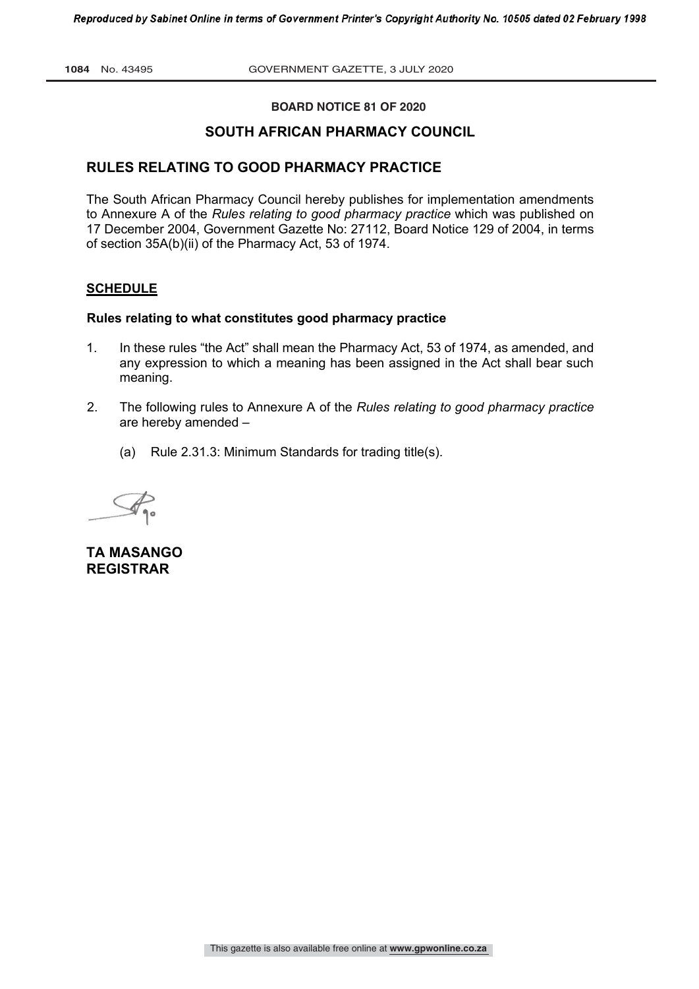**BOARD NOTICE 81 OF 2020** 

# **SOUTH AFRICAN PHARMACY COUNCIL**

## **RULES RELATING TO GOOD PHARMACY PRACTICE**

The South African Pharmacy Council hereby publishes for implementation amendments to Annexure A of the *Rules relating to good pharmacy practice* which was published on 17 December 2004, Government Gazette No: 27112, Board Notice 129 of 2004, in terms of section 35A(b)(ii) of the Pharmacy Act, 53 of 1974.

## **SCHEDULE**

#### **Rules relating to what constitutes good pharmacy practice**

- 1. In these rules "the Act" shall mean the Pharmacy Act, 53 of 1974, as amended, and any expression to which a meaning has been assigned in the Act shall bear such meaning.
- 2. The following rules to Annexure A of the *Rules relating to good pharmacy practice* are hereby amended –
	- (a) Rule 2.31.3: Minimum Standards for trading title(s).

**TA MASANGO REGISTRAR**